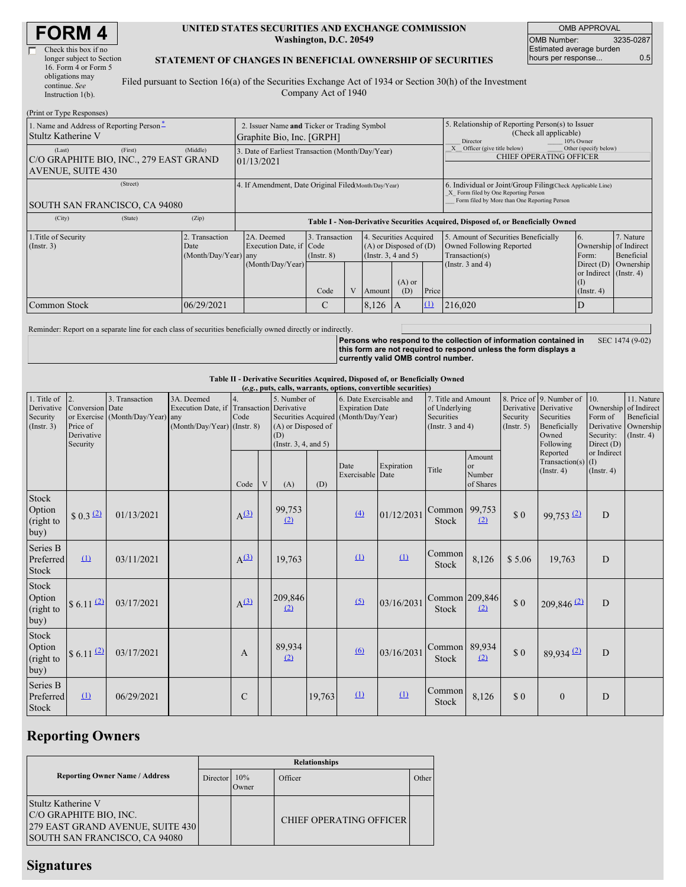| <b>FORM4</b> |  |
|--------------|--|
|--------------|--|

Г

| Check this box if no |                           |
|----------------------|---------------------------|
|                      |                           |
| 16. Form 4 or Form 5 |                           |
| obligations may      | Ī                         |
| continue. See        |                           |
| Instruction $1(b)$ . |                           |
|                      | longer subject to Section |

### **UNITED STATES SECURITIES AND EXCHANGE COMMISSION Washington, D.C. 20549**

OMB APPROVAL OMB Number: 3235-0287 Estimated average burden hours per response... 0.5

### **STATEMENT OF CHANGES IN BENEFICIAL OWNERSHIP OF SECURITIES**

Filed pursuant to Section 16(a) of the Securities Exchange Act of 1934 or Section 30(h) of the Investment Company Act of 1940

| (Print or Type Responses)                                                                  |            |                                                                                  |                                   |  |                                                                              |                 |                                                              |                                                                                                                                                    |                                                                            |           |  |
|--------------------------------------------------------------------------------------------|------------|----------------------------------------------------------------------------------|-----------------------------------|--|------------------------------------------------------------------------------|-----------------|--------------------------------------------------------------|----------------------------------------------------------------------------------------------------------------------------------------------------|----------------------------------------------------------------------------|-----------|--|
| 1. Name and Address of Reporting Person <sup>*</sup><br>Stultz Katherine V                 |            | 2. Issuer Name and Ticker or Trading Symbol<br>Graphite Bio, Inc. [GRPH]         |                                   |  |                                                                              |                 |                                                              | 5. Relationship of Reporting Person(s) to Issuer<br>(Check all applicable)<br>Director<br>10% Owner                                                |                                                                            |           |  |
| (Last)<br>(First)<br>C/O GRAPHITE BIO, INC., 279 EAST GRAND<br><b>AVENUE, SUITE 430</b>    | (Middle)   | 3. Date of Earliest Transaction (Month/Day/Year)<br>01/13/2021                   |                                   |  |                                                                              |                 | Officer (give title below)<br><b>CHIEF OPERATING OFFICER</b> | Other (specify below)                                                                                                                              |                                                                            |           |  |
| (Street)<br>SOUTH SAN FRANCISCO, CA 94080                                                  |            | 4. If Amendment, Date Original Filed(Month/Day/Year)                             |                                   |  |                                                                              |                 |                                                              | 6. Individual or Joint/Group Filing(Check Applicable Line)<br>X Form filed by One Reporting Person<br>Form filed by More than One Reporting Person |                                                                            |           |  |
| (State)<br>(City)                                                                          | (Zip)      | Table I - Non-Derivative Securities Acquired, Disposed of, or Beneficially Owned |                                   |  |                                                                              |                 |                                                              |                                                                                                                                                    |                                                                            |           |  |
| 1. Title of Security<br>2. Transaction<br>$($ Instr. 3 $)$<br>Date<br>(Month/Day/Year) any |            | 2A. Deemed<br>Execution Date, if Code                                            | 3. Transaction<br>$($ Instr. $8)$ |  | 4. Securities Acquired<br>$(A)$ or Disposed of $(D)$<br>(Insert. 3, 4 and 5) |                 |                                                              | 5. Amount of Securities Beneficially<br>Owned Following Reported<br>Transaction(s)                                                                 | 7. Nature<br>6.<br>Ownership of Indirect<br>Beneficial<br>Form:            |           |  |
|                                                                                            |            | (Month/Day/Year)                                                                 | Code                              |  | Amount                                                                       | $(A)$ or<br>(D) | Price                                                        | (Instr. $3$ and $4$ )                                                                                                                              | Direct $(D)$<br>or Indirect (Instr. 4)<br>$($ $\Gamma$<br>$($ Instr. 4 $)$ | Ownership |  |
| Common Stock                                                                               | 06/29/2021 |                                                                                  | C                                 |  | 8,126                                                                        | A               | $\Omega$                                                     | 216,020                                                                                                                                            | D                                                                          |           |  |

Reminder: Report on a separate line for each class of securities beneficially owned directly or indirectly.

**Persons who respond to the collection of information contained in this form are not required to respond unless the form displays a currently valid OMB control number.** SEC 1474 (9-02)

### **Table II - Derivative Securities Acquired, Disposed of, or Beneficially Owned**

|                                                      | (e.g., puts, calls, warrants, options, convertible securities) |                                                    |                                                                                          |                  |             |                                                                                                                |        |                                                   |            |                                                                             |                                                |                                                  |                                                                              |                                                         |                                                                                    |
|------------------------------------------------------|----------------------------------------------------------------|----------------------------------------------------|------------------------------------------------------------------------------------------|------------------|-------------|----------------------------------------------------------------------------------------------------------------|--------|---------------------------------------------------|------------|-----------------------------------------------------------------------------|------------------------------------------------|--------------------------------------------------|------------------------------------------------------------------------------|---------------------------------------------------------|------------------------------------------------------------------------------------|
| 1. Title of<br>Derivative<br>Security<br>(Insert. 3) | 2.<br>Conversion Date<br>Price of<br>Derivative<br>Security    | 3. Transaction<br>or Exercise (Month/Day/Year) any | 3A. Deemed<br>Execution Date, if Transaction Derivative<br>$(Month/Day/Year)$ (Instr. 8) | 4.<br>Code       |             | 5. Number of<br>Securities Acquired (Month/Day/Year)<br>(A) or Disposed of<br>(D)<br>(Instr. $3, 4,$ and $5$ ) |        | 6. Date Exercisable and<br><b>Expiration Date</b> |            | 7. Title and Amount<br>of Underlying<br>Securities<br>(Instr. $3$ and $4$ ) |                                                | Derivative Derivative<br>Security<br>(Insert. 5) | 8. Price of 9. Number of<br>Securities<br>Beneficially<br>Owned<br>Following | 10.<br>Form of<br>Derivative<br>Security:<br>Direct (D) | 11. Nature<br>Ownership of Indirect<br>Beneficial<br>Ownership<br>$($ Instr. 4 $)$ |
|                                                      |                                                                |                                                    |                                                                                          | Code             | $\mathbf V$ | (A)                                                                                                            | (D)    | Date<br>Exercisable Date                          | Expiration | Title                                                                       | Amount<br><sub>or</sub><br>Number<br>of Shares |                                                  | Reported<br>Transaction(s) $(I)$<br>$($ Instr. 4 $)$                         | or Indirect<br>$($ Instr. 4 $)$                         |                                                                                    |
| Stock<br>Option<br>(right to<br>buy)                 | \$0.3(2)                                                       | 01/13/2021                                         |                                                                                          | A <sup>(3)</sup> |             | 99,753<br>(2)                                                                                                  |        | (4)                                               | 01/12/2031 | Common 99,753<br><b>Stock</b>                                               | (2)                                            | \$0                                              | $99,753$ <sup>(2)</sup>                                                      | $\overline{D}$                                          |                                                                                    |
| Series B<br>Preferred<br>Stock                       | (1)                                                            | 03/11/2021                                         |                                                                                          | $A^{(3)}$        |             | 19,763                                                                                                         |        | (1)                                               | $\Omega$   | Common<br>Stock                                                             | 8,126                                          | \$5.06                                           | 19,763                                                                       | D                                                       |                                                                                    |
| <b>Stock</b><br>Option<br>(right to<br>buy)          | $$6.11$ $(2)$                                                  | 03/17/2021                                         |                                                                                          | A <sup>(3)</sup> |             | 209,846<br>(2)                                                                                                 |        | $\sqrt{2}$                                        | 03/16/2031 | Common 209,846<br><b>Stock</b>                                              | (2)                                            | \$0                                              | $209,846$ <sup>(2)</sup>                                                     | D                                                       |                                                                                    |
| Stock<br>Option<br>(right to<br>buy)                 | $$6.11$ $^{(2)}$                                               | 03/17/2021                                         |                                                                                          | A                |             | 89,934<br>(2)                                                                                                  |        | $\omega$                                          | 03/16/2031 | Common 89,934<br><b>Stock</b>                                               | (2)                                            | \$0                                              | $89,934$ <sup>(2)</sup>                                                      | D                                                       |                                                                                    |
| Series B<br>Preferred<br><b>Stock</b>                | $\Box$                                                         | 06/29/2021                                         |                                                                                          | $\mathsf{C}$     |             |                                                                                                                | 19,763 | $\Omega$                                          | $\Omega$   | Common<br><b>Stock</b>                                                      | 8,126                                          | \$0                                              | $\mathbf{0}$                                                                 | D                                                       |                                                                                    |

# **Reporting Owners**

|                                                                                                                   | <b>Relationships</b> |                          |                                |       |  |  |  |  |
|-------------------------------------------------------------------------------------------------------------------|----------------------|--------------------------|--------------------------------|-------|--|--|--|--|
| <b>Reporting Owner Name / Address</b>                                                                             |                      | 10%<br>Director<br>Owner | Officer                        | Other |  |  |  |  |
| Stultz Katherine V<br>C/O GRAPHITE BIO, INC.<br>279 EAST GRAND AVENUE, SUITE 430<br>SOUTH SAN FRANCISCO, CA 94080 |                      |                          | <b>CHIEF OPERATING OFFICER</b> |       |  |  |  |  |

## **Signatures**